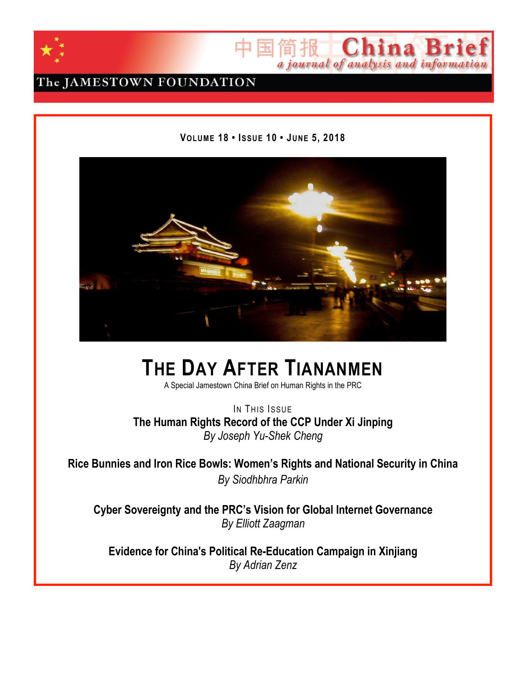



# The JAMESTOWN FOUNDATION

### **VOLUME 18 • ISSUE 10 • JUNE 5, 2018**



# **THE DAY AFTER TIANANMEN**

A Special Jamestown China Brief on Human Rights in the PRC

IN THIS ISSUE **The Human Rights Record of the CCP Under Xi Jinping** *By Joseph Yu-Shek Cheng*

**Rice Bunnies and Iron Rice Bowls: Women's Rights and National Security in China** *By Siodhbhra Parkin*

**Cyber Sovereignty and the PRC's Vision for Global Internet Governance** *By Elliott Zaagman*

**Evidence for China's Political Re-Education Campaign in Xinjiang** *By Adrian Zenz*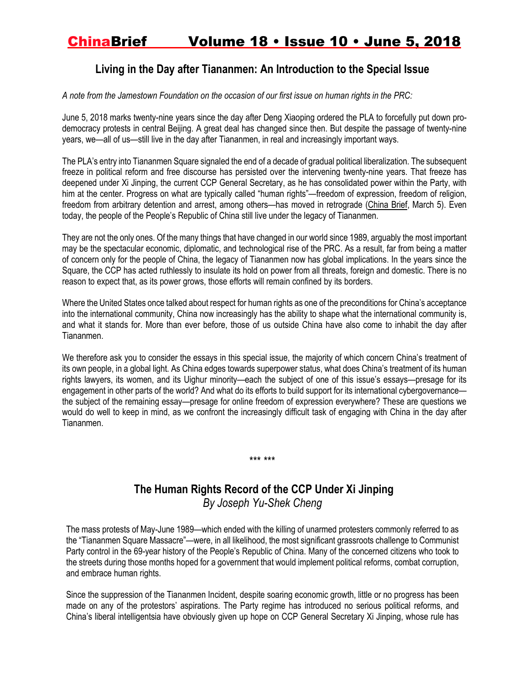### **Living in the Day after Tiananmen: An Introduction to the Special Issue**

A note from the Jamestown Foundation on the occasion of our first issue on human rights in the PRC:

June 5, 2018 marks twenty-nine years since the day after Deng Xiaoping ordered the PLA to forcefully put down prodemocracy protests in central Beijing. A great deal has changed since then. But despite the passage of twenty-nine years, we—all of us—still live in the day after Tiananmen, in real and increasingly important ways.

The PLA's entry into Tiananmen Square signaled the end of a decade of gradual political liberalization. The subsequent freeze in political reform and free discourse has persisted over the intervening twenty-nine years. That freeze has deepened under Xi Jinping, the current CCP General Secretary, as he has consolidated power within the Party, with him at the center. Progress on what are typically called "human rights"—freedom of expression, freedom of religion, freedom from arbitrary detention and arrest, among others—has moved in retrograde [\(China](https://jamestown.org/program/xi-jinping-steers-china-back-days-mao-zedong/) Brief, March 5). Even today, the people of the People's Republic of China still live under the legacy of Tiananmen.

They are not the only ones. Of the many things that have changed in our world since 1989, arguably the most important may be the spectacular economic, diplomatic, and technological rise of the PRC. As a result, far from being a matter of concern only for the people of China, the legacy of Tiananmen now has global implications. In the years since the Square, the CCP has acted ruthlessly to insulate its hold on power from all threats, foreign and domestic. There is no reason to expect that, as its power grows, those efforts will remain confined by its borders.

Where the United States once talked about respect for human rights as one of the preconditions for China's acceptance into the international community, China now increasingly has the ability to shape what the international community is, and what it stands for. More than ever before, those of us outside China have also come to inhabit the day after Tiananmen.

We therefore ask you to consider the essays in this special issue, the majority of which concern China's treatment of its own people, in a global light. As China edges towards superpower status, what does China's treatment of its human rights lawyers, its women, and its Uighur minority—each the subject of one of this issue's essays—presage for its engagement in other parts of the world? And what do its efforts to build support for its international cybergovernance the subject of the remaining essay—presage for online freedom of expression everywhere? These are questions we would do well to keep in mind, as we confront the increasingly difficult task of engaging with China in the day after Tiananmen.

### **The Human Rights Record of the CCP Under Xi Jinping** *By Joseph Yu-Shek Cheng*

\*\*\* \*\*\*

The mass protests of May-June 1989—which ended with the killing of unarmed protesters commonly referred to as the "Tiananmen Square Massacre"—were, in all likelihood, the most significant grassroots challenge to Communist Party control in the 69-year history of the People's Republic of China. Many of the concerned citizens who took to the streets during those months hoped for a government that would implement political reforms, combat corruption, and embrace human rights.

Since the suppression of the Tiananmen Incident, despite soaring economic growth, little or no progress has been made on any of the protestors' aspirations. The Party regime has introduced no serious political reforms, and China's liberal intelligentsia have obviously given up hope on CCP General Secretary Xi Jinping, whose rule has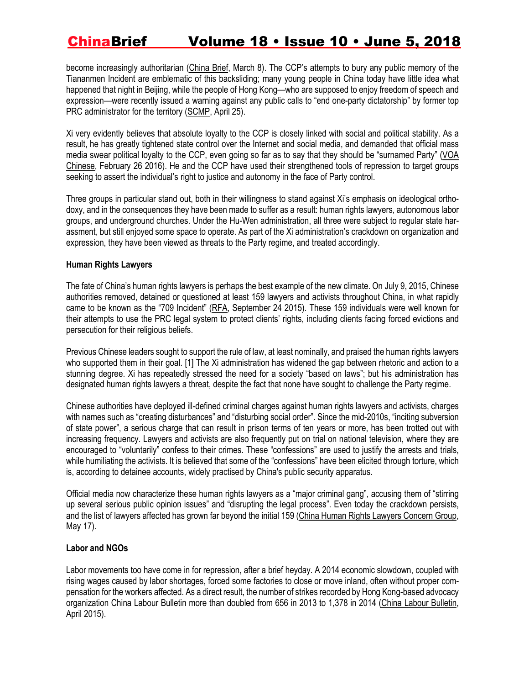become increasingly authoritarian [\(China](https://jamestown.org/program/xi-jinping-steers-china-back-days-mao-zedong/) Brief, March 8). The CCP's attempts to bury any public memory of the Tiananmen Incident are emblematic of this backsliding; many young people in China today have little idea what happened that night in Beijing, while the people of Hong Kong—who are supposed to enjoy freedom of speech and expression—were recently issued a warning against any public calls to "end one-party dictatorship" by former top PRC administrator for the territory [\(SCMP,](http://www.scmp.com/news/hong-kong/politics/article/2143260/people-who-chant-end-one-party-dictatorship-slogan-are) April 25).

Xi very evidently believes that absolute loyalty to the CCP is closely linked with social and political stability. As a result, he has greatly tightened state control over the Internet and social media, and demanded that official mass media swear political loyalty to the CCP, even going so far as to say that they should be "surnamed Party" [\(VOA](https://www.voachinese.com/a/xijinping-china-media-20160225/3208161.html) [Chinese,](https://www.voachinese.com/a/xijinping-china-media-20160225/3208161.html) February 26 2016). He and the CCP have used their strengthened tools of repression to target groups seeking to assert the individual's right to justice and autonomy in the face of Party control.

Three groups in particular stand out, both in their willingness to stand against Xi's emphasis on ideological orthodoxy, and in the consequences they have been made to suffer as a result: human rights lawyers, autonomous labor groups, and underground churches. Under the Hu-Wen administration, all three were subject to regular state harassment, but still enjoyed some space to operate. As part of the Xi administration's crackdown on organization and expression, they have been viewed as threats to the Party regime, and treated accordingly.

#### **Human Rights Lawyers**

The fate of China's human rights lawyers is perhaps the best example of the new climate. On July 9, 2015, Chinese authorities removed, detained or questioned at least 159 lawyers and activists throughout China, in what rapidly came to be known as the "709 Incident" [\(RFA,](https://www.rfa.org/mandarin/yataibaodao/renquanfazhi/hc-09242015100851.html) September 24 2015). These 159 individuals were well known for their attempts to use the PRC legal system to protect clients' rights, including clients facing forced evictions and persecution for their religious beliefs.

Previous Chinese leaders sought to support the rule of law, at least nominally, and praised the human rights lawyers who supported them in their goal. [1] The Xi administration has widened the gap between rhetoric and action to a stunning degree. Xi has repeatedly stressed the need for a society "based on laws"; but his administration has designated human rights lawyers a threat, despite the fact that none have sought to challenge the Party regime.

Chinese authorities have deployed ill-defined criminal charges against human rights lawyers and activists, charges with names such as "creating disturbances" and "disturbing social order". Since the mid-2010s, "inciting subversion of state power", a serious charge that can result in prison terms of ten years or more, has been trotted out with increasing frequency. Lawyers and activists are also frequently put on trial on national television, where they are encouraged to "voluntarily" confess to their crimes. These "confessions" are used to justify the arrests and trials, while humiliating the activists. It is believed that some of the "confessions" have been elicited through torture, which is, according to detainee accounts, widely practised by China's public security apparatus.

Official media now characterize these human rights lawyers as a "major criminal gang", accusing them of "stirring up several serious public opinion issues" and "disrupting the legal process". Even today the crackdown persists, and the list of lawyers affected has grown far beyond the initial 159 (China Human Rights Lawyers [Concern](file:///C:/Users/Matt/Desktop/China%20Human%20Rights%20Lawyers%20Concern%20Group) Group, May 17).

#### **Labor and NGOs**

Labor movements too have come in for repression, after a brief heyday. A 2014 economic slowdown, coupled with rising wages caused by labor shortages, forced some factories to close or move inland, often without proper compensation for the workers affected. As a direct result, the number of strikes recorded by Hong Kong-based advocacy organization China Labour Bulletin more than doubled from 656 in 2013 to 1,378 in 2014 (China Labour [Bulletin,](http://www.clb.org.hk/sites/default/files/archive/schi/File/other/%E4%B8%AD%E5%9B%BD%E5%B7%A5%E4%BA%BA%E8%BF%90%E5%8A%A8%E8%A7%82%E5%AF%9F%E6%8A%A5%E5%91%8A%EF%BC%882013%20%E2%80%93%202014%EF%BC%89.pdf) April 2015).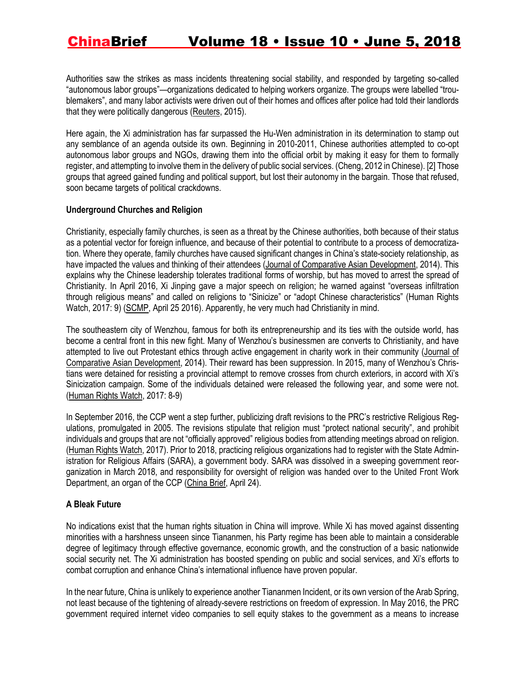Authorities saw the strikes as mass incidents threatening social stability, and responded by targeting so-called "autonomous labor groups"—organizations dedicated to helping workers organize. The groups were labelled "troublemakers", and many labor activists were driven out of their homes and offices after police had told their landlords that they were politically dangerous [\(Reuters,](https://www.reuters.com/article/us-china-labour/china-labor-activists-say-facing-unprecedented-intimidation-idUSKBN0KU13V20150121) 2015).

Here again, the Xi administration has far surpassed the Hu-Wen administration in its determination to stamp out any semblance of an agenda outside its own. Beginning in 2010-2011, Chinese authorities attempted to co-opt autonomous labor groups and NGOs, drawing them into the official orbit by making it easy for them to formally register, and attempting to involve them in the delivery of public social services. (Cheng, 2012 in Chinese). [2] Those groups that agreed gained funding and political support, but lost their autonomy in the bargain. Those that refused, soon became targets of political crackdowns.

#### **Underground Churches and Religion**

Christianity, especially family churches, is seen as a threat by the Chinese authorities, both because of their status as a potential vector for foreign influence, and because of their potential to contribute to a process of democratization. Where they operate, family churches have caused significant changes in China's state-society relationship, as have impacted the values and thinking of their attendees (Journal of Comparative Asian [Development,](https://www.tandfonline.com/doi/abs/10.1080/15339114.2014.934029) 2014). This explains why the Chinese leadership tolerates traditional forms of worship, but has moved to arrest the spread of Christianity. In April 2016, Xi Jinping gave a major speech on religion; he warned against "overseas infiltration through religious means" and called on religions to "Sinicize" or "adopt Chinese characteristics" (Human Rights Watch, 2017: 9) [\(SCMP,](http://www.scmp.com/news/china/policies-politics/article/1938284/be-guard-foreign-religious-infiltrators-chinese) April 25 2016). Apparently, he very much had Christianity in mind.

The southeastern city of Wenzhou, famous for both its entrepreneurship and its ties with the outside world, has become a central front in this new fight. Many of Wenzhou's businessmen are converts to Christianity, and have attempted to live out Protestant ethics through active engagement in charity work in their community [\(Journal](https://www.tandfonline.com/doi/abs/10.1080/15339114.2014.934029) of Comparative Asian [Development,](https://www.tandfonline.com/doi/abs/10.1080/15339114.2014.934029) 2014). Their reward has been suppression. In 2015, many of Wenzhou's Christians were detained for resisting a provincial attempt to remove crosses from church exteriors, in accord with Xi's Sinicization campaign. Some of the individuals detained were released the following year, and some were not. [\(Human](https://www.hrw.org/sites/default/files/china_3.pdf) Rights Watch, 2017: 8-9)

In September 2016, the CCP went a step further, publicizing draft revisions to the PRC's restrictive Religious Regulations, promulgated in 2005. The revisions stipulate that religion must "protect national security", and prohibit individuals and groups that are not "officially approved" religious bodies from attending meetings abroad on religion. [\(Human](https://www.hrw.org/sites/default/files/china_3.pdf) Rights Watch, 2017). Prior to 2018, practicing religious organizations had to register with the State Administration for Religious Affairs (SARA), a government body. SARA was dissolved in a sweeping government reorganization in March 2018, and responsibility for oversight of religion was handed over to the United Front Work Department, an organ of the CCP [\(China](https://jamestown.org/program/the-rise-and-rise-of-the-united-front-work-department-under-xi/) Brief, April 24).

#### **A Bleak Future**

No indications exist that the human rights situation in China will improve. While Xi has moved against dissenting minorities with a harshness unseen since Tiananmen, his Party regime has been able to maintain a considerable degree of legitimacy through effective governance, economic growth, and the construction of a basic nationwide social security net. The Xi administration has boosted spending on public and social services, and Xi's efforts to combat corruption and enhance China's international influence have proven popular.

In the near future, China is unlikely to experience another Tiananmen Incident, or its own version of the Arab Spring, not least because of the tightening of already-severe restrictions on freedom of expression. In May 2016, the PRC government required internet video companies to sell equity stakes to the government as a means to increase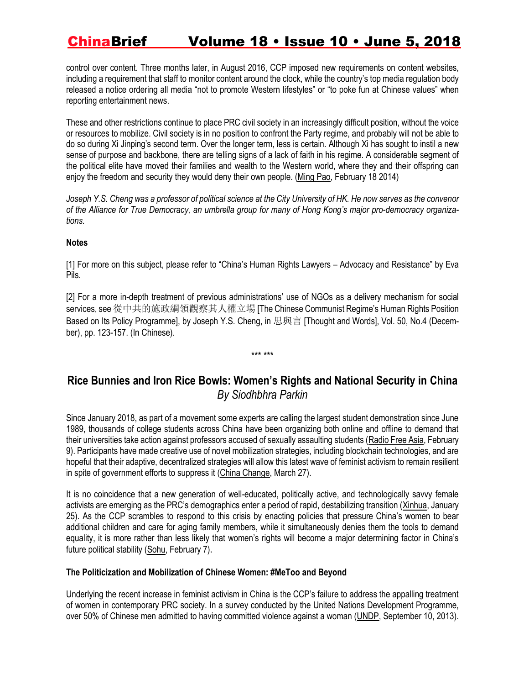control over content. Three months later, in August 2016, CCP imposed new requirements on content websites, including a requirement that staff to monitor content around the clock, while the country's top media regulation body released a notice ordering all media "not to promote Western lifestyles" or "to poke fun at Chinese values" when reporting entertainment news.

These and other restrictions continue to place PRC civil society in an increasingly difficult position, without the voice or resources to mobilize. Civil society is in no position to confront the Party regime, and probably will not be able to do so during Xi Jinping's second term. Over the longer term, less is certain. Although Xi has sought to instil a new sense of purpose and backbone, there are telling signs of a lack of faith in his regime. A considerable segment of the political elite have moved their families and wealth to the Western world, where they and their offspring can enjoy the freedom and security they would deny their own people. [\(Ming](https://www.yzzk.com/cfm/blogger3.cfm?id=1392707230048&author=%E8%AC%9D%E6%82%85%E6%BC%A2) Pao, February 18 2014)

Joseph Y.S. Cheng was a professor of political science at the City University of HK. He now serves as the convenor of the Alliance for True Democracy, an umbrella group for many of Hong Kong's major pro-democracy organiza*tions.*

#### **Notes**

[1] For more on this subject, please refer to "China's Human Rights Lawyers – Advocacy and Resistance" by Eva Pils.

[2] For a more in-depth treatment of previous administrations' use of NGOs as a delivery mechanism for social services, see 從中共的施政綱領觀察其人權立場 [The Chinese Communist Regime's Human Rights Position Based on Its Policy Programme], by Joseph Y.S. Cheng, in 思與言 [Thought and Words], Vol. 50, No.4 (December), pp. 123-157. (In Chinese).

\*\*\* \*\*\*

### **Rice Bunnies and Iron Rice Bowls: Women's Rights and National Security in China** *By Siodhbhra Parkin*

Since January 2018, as part of a movement some experts are calling the largest student demonstration since June 1989, thousands of college students across China have been organizing both online and offline to demand that their universities take action against professors accused of sexually assaulting students [\(Radio Free Asia,](https://www.rfa.org/cantonese/news/harassment-02092018093129.html) February 9). Participants have made creative use of novel mobilization strategies, including blockchain technologies, and are hopeful that their adaptive, decentralized strategies will allow this latest wave of feminist activism to remain resilient in spite of government efforts to suppress it [\(China Change,](https://chinachange.org/2018/03/27/who-are-the-young-women-behind-the-metoo-in-china-campaign-an-organizer-explains/) March 27).

It is no coincidence that a new generation of well-educated, politically active, and technologically savvy female activists are emerging as the PRC's demographics enter a period of rapid, destabilizing transition ([Xinhua,](http://www.xinhuanet.com/english/2018-01/25/c_136921905.htm) January 25). As the CCP scrambles to respond to this crisis by enacting policies that pressure China's women to bear additional children and care for aging family members, while it simultaneously denies them the tools to demand equality, it is more rather than less likely that women's rights will become a major determining factor in China's future political stability [\(Sohu,](http://www.sohu.com/a/221444818_313745) February 7).

#### **The Politicization and Mobilization of Chinese Women: #MeToo and Beyond**

Underlying the recent increase in feminist activism in China is the CCP's failure to address the appalling treatment of women in contemporary PRC society. In a survey conducted by the United Nations Development Programme, over 50% of Chinese men admitted to having committed violence against a woman [\(UNDP,](http://www.undp.org/content/undp/en/home/presscenter/pressreleases/2013/09/10/un-survey-of-10-000-men-in-asia-and-the-pacific-reveals-why-some-men-use-violence-against-women-and-girls-.html) September 10, 2013).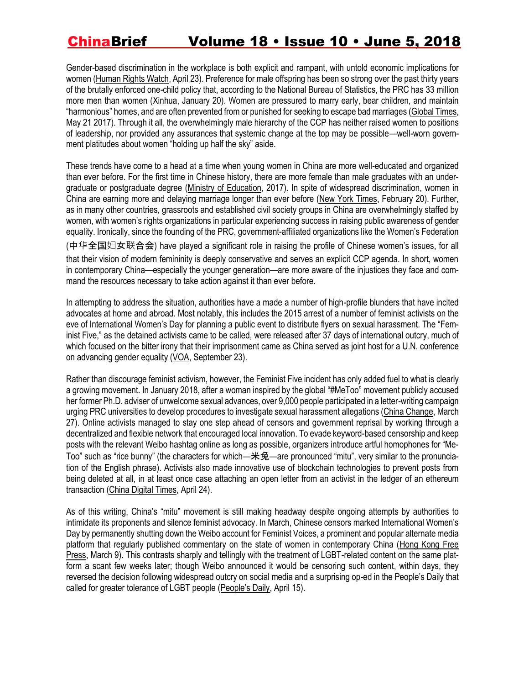Gender-based discrimination in the workplace is both explicit and rampant, with untold economic implications for women [\(Human Rights Watch,](https://www.hrw.org/report/2018/04/23/only-men-need-apply/gender-discrimination-job-advertisements-china) April 23). Preference for male offspring has been so strong over the past thirty years of the brutally enforced one-child policy that, according to the National Bureau of Statistics, the PRC has 33 million more men than women [\(Xinhua,](http://www.xinhuanet.com/english/2018-01/20/c_136910631.htm) January 20). Women are pressured to marry early, bear children, and maintain "harmonious" homes, and are often prevented from or punished for seeking to escape bad marriages [\(Global Times,](http://www.globaltimes.cn/content/1047995.shtml) May 21 2017). Through it all, the overwhelmingly male hierarchy of the CCP has neither raised women to positions of leadership, nor provided any assurances that systemic change at the top may be possible—well-worn government platitudes about women "holding up half the sky" aside.

These trends have come to a head at a time when young women in China are more well-educated and organized than ever before. For the first time in Chinese history, there are more female than male graduates with an undergraduate or postgraduate degree [\(Ministry of Education,](http://www.moe.gov.cn/s78/A03/moe_560/jytjsj_2016/2016_qg/201708/t20170822_311614.html) 2017). In spite of widespread discrimination, women in China are earning more and delaying marriage longer than ever before [\(New York Times,](https://www.nytimes.com/2018/02/20/opinion/china-women-birthrate-rights.html) February 20). Further, as in many other countries, grassroots and established civil society groups in China are overwhelmingly staffed by women, with women's rights organizations in particular experiencing success in raising public awareness of gender equality. Ironically, since the founding of the PRC, government-affiliated organizations like the Women's Federation

(中华全国妇女联合会) have played a significant role in raising the profile of Chinese women's issues, for all that their vision of modern femininity is deeply conservative and serves an explicit CCP agenda. In short, women in contemporary China—especially the younger generation—are more aware of the injustices they face and command the resources necessary to take action against it than ever before.

In attempting to address the situation, authorities have a made a number of high-profile blunders that have incited advocates at home and abroad. Most notably, this includes the 2015 arrest of a number of feminist activists on the eve of International Women's Day for planning a public event to distribute flyers on sexual harassment. The "Feminist Five," as the detained activists came to be called, were released after 37 days of international outcry, much of which focused on the bitter irony that their imprisonment came as China served as joint host for a U.N. conference on advancing gender equality [\(VOA,](https://www.voachinese.com/a/voa-news-lawyers-for-feminist-five-sent-open-letter-20150923/2975155.html) September 23).

Rather than discourage feminist activism, however, the Feminist Five incident has only added fuel to what is clearly a growing movement. In January 2018, after a woman inspired by the global "#MeToo" movement publicly accused her former Ph.D. adviser of unwelcome sexual advances, over 9,000 people participated in a letter-writing campaign urging PRC universities to develop procedures to investigate sexual harassment allegations [\(China Change,](https://chinachange.org/2018/03/27/who-are-the-young-women-behind-the-metoo-in-china-campaign-an-organizer-explains/) March 27). Online activists managed to stay one step ahead of censors and government reprisal by working through a decentralized and flexible network that encouraged local innovation. To evade keyword-based censorship and keep posts with the relevant Weibo hashtag online as long as possible, organizers introduce artful homophones for "Me-Too" such as "rice bunny" (the characters for which—米兔—are pronounced "mitu", very similar to the pronunciation of the English phrase). Activists also made innovative use of blockchain technologies to prevent posts from being deleted at all, in at least once case attaching an open letter from an activist in the ledger of an ethereum transaction [\(China Digital Times,](https://chinadigitaltimes.net/chinese/2018/04/%E3%80%90%E7%AB%8B%E6%AD%A4%E5%AD%98%E7%85%A7%E3%80%91%E6%B0%B8%E5%AD%98%E4%BA%8E%E5%8C%BA%E5%9D%97%E9%93%BE%E4%B8%8A%E7%9A%84%E8%87%B4%E5%8C%97%E5%A4%A7%E5%85%AC%E5%BC%80%E4%BF%A1/) April 24).

As of this writing, China's "mitu" movement is still making headway despite ongoing attempts by authorities to intimidate its proponents and silence feminist advocacy. In March, Chinese censors marked International Women's Day by permanently shutting down the Weibo account for Feminist Voices, a prominent and popular alternate media platform that regularly published commentary on the state of women in contemporary China [\(Hong Kong Free](https://www.hongkongfp.com/2018/03/09/prominent-chinese-feminist-social-media-account-censored-international-womens-day/)  [Press,](https://www.hongkongfp.com/2018/03/09/prominent-chinese-feminist-social-media-account-censored-international-womens-day/) March 9). This contrasts sharply and tellingly with the treatment of LGBT-related content on the same platform a scant few weeks later; though Weibo announced it would be censoring such content, within days, they reversed the decision following widespread outcry on social media and a surprising op-ed in the People's Daily that called for greater tolerance of LGBT people ([People's Daily](https://www.weibo.com/2803301701/GcdmA042D?type=comment), April 15).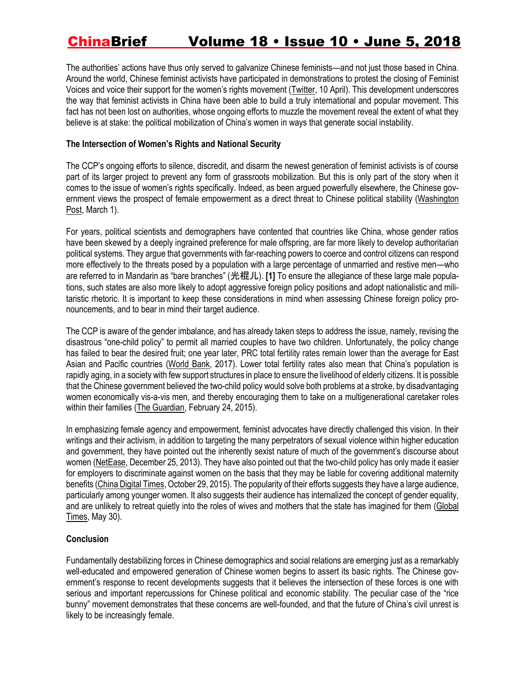The authorities' actions have thus only served to galvanize Chinese feminists—and not just those based in China. Around the world, Chinese feminist activists have participated in demonstrations to protest the closing of Feminist Voices and voice their support for the women's rights movement ([Twitter,](https://twitter.com/pinerpiner/status/983939446323253248) 10 April). This development underscores the way that feminist activists in China have been able to build a truly international and popular movement. This fact has not been lost on authorities, whose ongoing efforts to muzzle the movement reveal the extent of what they believe is at stake: the political mobilization of China's women in ways that generate social instability.

#### **The Intersection of Women's Rights and National Security**

The CCP's ongoing efforts to silence, discredit, and disarm the newest generation of feminist activists is of course part of its larger project to prevent any form of grassroots mobilization. But this is only part of the story when it comes to the issue of women's rights specifically. Indeed, as been argued powerfully elsewhere, the Chinese government views the prospect of female empowerment as a direct threat to Chinese political stability (Washington [Post,](https://www.washingtonpost.com/news/global-opinions/wp/2018/03/01/xi-jinpings-authoritarian-rise-in-china-has-been-powered-by-sexism/?utm_term=.9e31daf8cac4) March 1).

For years, political scientists and demographers have contented that countries like China, whose gender ratios have been skewed by a deeply ingrained preference for male offspring, are far more likely to develop authoritarian political systems. They argue that governments with far-reaching powers to coerce and control citizens can respond more effectively to the threats posed by a population with a large percentage of unmarried and restive men—who are referred to in Mandarin as "bare branches" (光棍儿). **[1]** To ensure the allegiance of these large male populations, such states are also more likely to adopt aggressive foreign policy positions and adopt nationalistic and militaristic rhetoric. It is important to keep these considerations in mind when assessing Chinese foreign policy pronouncements, and to bear in mind their target audience.

The CCP is aware of the gender imbalance, and has already taken steps to address the issue, namely, revising the disastrous "one-child policy" to permit all married couples to have two children. Unfortunately, the policy change has failed to bear the desired fruit; one year later, PRC total fertility rates remain lower than the average for East Asian and Pacific countries [\(World Bank](https://data.worldbank.org/indicator/SP.DYN.TFRT.IN), 2017). Lower total fertility rates also mean that China's population is rapidly aging, in a society with few support structures in place to ensure the livelihood of elderly citizens. It is possible that the Chinese government believed the two-child policy would solve both problems at a stroke, by disadvantaging women economically vis-a-vis men, and thereby encouraging them to take on a multigenerational caretaker roles within their families [\(The Guardian,](https://www.theguardian.com/world/2015/feb/24/chinese-women-equality-laws-land-housing) February 24, 2015).

In emphasizing female agency and empowerment, feminist advocates have directly challenged this vision. In their writings and their activism, in addition to targeting the many perpetrators of sexual violence within higher education and government, they have pointed out the inherently sexist nature of much of the government's discourse about women [\(NetEase,](https://3g.163.com/lady/article/9GV2R14A002626I3.html) December 25, 2013). They have also pointed out that the two-child policy has only made it easier for employers to discriminate against women on the basis that they may be liable for covering additional maternity benefits [\(China Digital Times,](https://chinadigitaltimes.net/chinese/2015/10/%E5%A5%B3%E6%9D%83%E4%B9%8B%E5%A3%B0-%E5%85%A8%E9%9D%A2%E4%BA%8C%E5%AD%A9%E5%90%8E%EF%BC%8C%E5%A5%B3%E4%BA%BA%E4%BC%9A%E4%BB%8E%E5%BC%BA%E5%88%B6%E4%B8%8D%E7%94%9F%E5%8F%98%E6%88%90%E8%A2%AB/) October 29, 2015). The popularity of their efforts suggests they have a large audience, particularly among younger women. It also suggests their audience has internalized the concept of gender equality, and are unlikely to retreat quietly into the roles of wives and mothers that the state has imagined for them [\(Global](http://www.globaltimes.cn/content/1104734.shtml#.Ww6aR7v_Uno.twitter)  [Times,](http://www.globaltimes.cn/content/1104734.shtml#.Ww6aR7v_Uno.twitter) May 30).

#### **Conclusion**

Fundamentally destabilizing forces in Chinese demographics and social relations are emerging just as a remarkably well-educated and empowered generation of Chinese women begins to assert its basic rights. The Chinese government's response to recent developments suggests that it believes the intersection of these forces is one with serious and important repercussions for Chinese political and economic stability. The peculiar case of the "rice bunny" movement demonstrates that these concerns are well-founded, and that the future of China's civil unrest is likely to be increasingly female.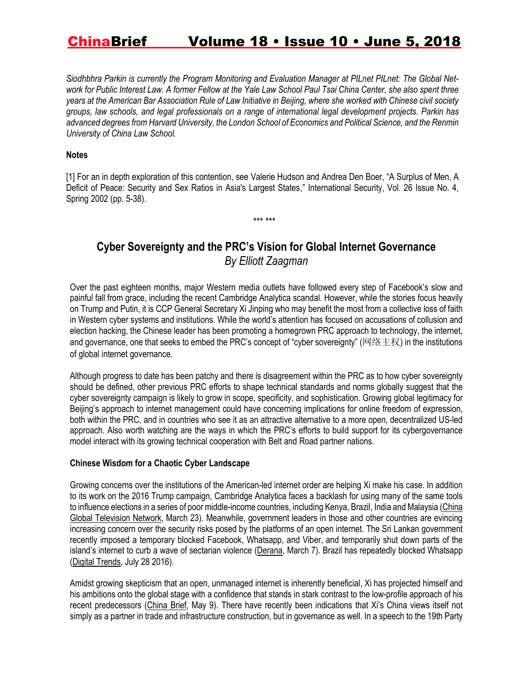*Siodhbhra Parkin is currently the Program Monitoring and Evaluation Manager at PILnet PILnet: The Global Network for Public Interest Law. A former Fellow at the Yale Law School Paul Tsai China Center, she also spent three years at the American Bar Association Rule of Law Initiative in Beijing, where she worked with Chinese civil society groups, law schools, and legal professionals on a range of international legal development projects. Parkin has advanced degrees from Harvard University, the London School of Economics and Political Science, and the Renmin University of China Law School.*

#### **Notes**

[1] For an in depth exploration of this contention, see Valerie Hudson and Andrea Den Boer, "A Surplus of Men, A Deficit of Peace: Security and Sex Ratios in Asia's Largest States," International Security, Vol. 26 Issue No. 4, Spring 2002 (pp. 5-38).

\*\*\* \*\*\*

### **Cyber Sovereignty and the PRC's Vision for Global Internet Governance** *By Elliott Zaagman*

Over the past eighteen months, major Western media outlets have followed every step of Facebook's slow and painful fall from grace, including the recent Cambridge Analytica scandal. However, while the stories focus heavily on Trump and Putin, it is CCP General Secretary Xi Jinping who may benefit the most from a collective loss of faith in Western cyber systems and institutions. While the world's attention has focused on accusations of collusion and election hacking, the Chinese leader has been promoting a homegrown PRC approach to technology, the internet, and governance, one that seeks to embed the PRC's concept of "cyber sovereignty" (网络主权) in the institutions of global internet governance.

Although progress to date has been patchy and there is disagreement within the PRC as to how cyber sovereignty should be defined, other previous PRC efforts to shape technical standards and norms globally suggest that the cyber sovereignty campaign is likely to grow in scope, specificity, and sophistication. Growing global legitimacy for Beijing's approach to internet management could have concerning implications for online freedom of expression, both within the PRC, and in countries who see it as an attractive alternative to a more open, decentralized US-led approach. Also worth watching are the ways in which the PRC's efforts to build support for its cybergovernance model interact with its growing technical cooperation with Belt and Road partner nations.

#### **Chinese Wisdom for a Chaotic Cyber Landscape**

Growing concerns over the institutions of the American-led internet order are helping Xi make his case. In addition to its work on the 2016 Trump campaign, Cambridge Analytica faces a backlash for using many of the same tools to influence elections in a series of poor middle-income countries, including Kenya, Brazil, India and Malaysia [\(China](https://news.cgtn.com/news/784d544d306b7a6333566d54/share_p.html) Global [Television](https://news.cgtn.com/news/784d544d306b7a6333566d54/share_p.html) Network, March 23). Meanwhile, government leaders in those and other countries are evincing increasing concern over the security risks posed by the platforms of an open internet. The Sri Lankan government recently imposed a temporary blocked Facebook, Whatsapp, and Viber, and temporarily shut down parts of the island's internet to curb a wave of sectarian violence [\(Derana,](http://www.adaderana.lk/news/46281/fb-viber-whatsapp-and-social-media-blocked-trc-) March 7). Brazil has repeatedly blocked Whatsapp (Digital [Trends,](https://www.digitaltrends.com/mobile/whatsapp-brazil-6-million-facebook-cash-frozen-1467391510-2/) July 28 2016).

Amidst growing skepticism that an open, unmanaged internet is inherently beneficial, Xi has projected himself and his ambitions onto the global stage with a confidence that stands in stark contrast to the low-profile approach of his recent predecessors [\(China](https://jamestown.org/program/concern-mounts-in-beijing-over-xis-aggressive-tactics/) Brief, May 9). There have recently been indications that Xi's China views itself not simply as a partner in trade and infrastructure construction, but in governance as well. In a speech to the 19th Party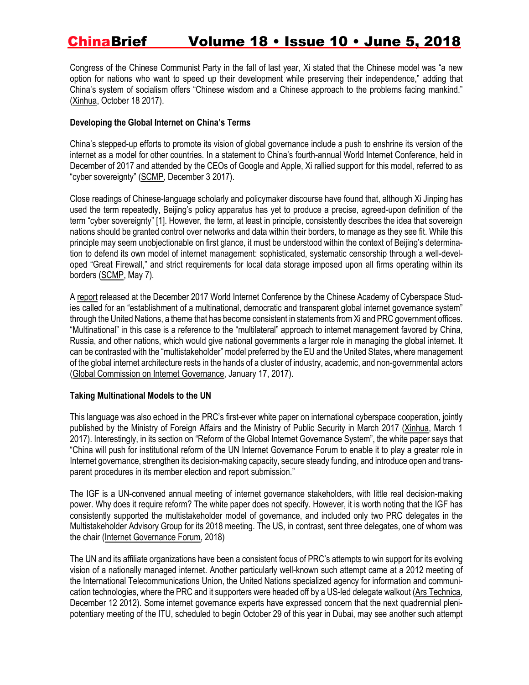Congress of the Chinese Communist Party in the fall of last year, Xi stated that the Chinese model was "a new option for nations who want to speed up their development while preserving their independence," adding that China's system of socialism offers "Chinese wisdom and a Chinese approach to the problems facing mankind." [\(Xinhua,](http://www.xinhuanet.com/english/download/Xi_Jinping) October 18 2017).

#### **Developing the Global Internet on China's Terms**

China's stepped-up efforts to promote its vision of global governance include a push to enshrine its version of the internet as a model for other countries. In a statement to China's fourth-annual World Internet Conference, held in December of 2017 and attended by the CEOs of Google and Apple, Xi rallied support for this model, referred to as "cyber sovereignty" [\(SCMP,](http://www.scmp.com/news/china/policies-politics/article/2122683/xi-jinping-renews-cyber-sovereignty-call-chinas-top) December 3 2017).

Close readings of Chinese-language scholarly and policymaker discourse have found that, although Xi Jinping has used the term repeatedly, Beijing's policy apparatus has yet to produce a precise, agreed-upon definition of the term "cyber sovereignty" [1]. However, the term, at least in principle, consistently describes the idea that sovereign nations should be granted control over networks and data within their borders, to manage as they see fit. While this principle may seem unobjectionable on first glance, it must be understood within the context of Beijing's determination to defend its own model of internet management: sophisticated, systematic censorship through a well-developed "Great Firewall," and strict requirements for local data storage imposed upon all firms operating within its borders [\(SCMP,](http://www.scmp.com/culture/books/article/2144692/how-china-censors-its-internet-and-controls-information-great-firewall) May 7).

A [report](file:///C:/Users/Elliott/Documents/Articles/report) released at the December 2017 World Internet Conference by the Chinese Academy of Cyberspace Studies called for an "establishment of a multinational, democratic and transparent global internet governance system" through the United Nations, a theme that has become consistent in statements from Xi and PRC government offices. "Multinational" in this case is a reference to the "multilateral" approach to internet management favored by China, Russia, and other nations, which would give national governments a larger role in managing the global internet. It can be contrasted with the "multistakeholder" model preferred by the EU and the United States, where management of the global internet architecture rests in the hands of a cluster of industry, academic, and non-governmental actors (Global Commission on Internet [Governance,](https://www.cigionline.org/publications/who-runs-internet-global-multi-stakeholder-model-internet-governance) January 17, 2017).

#### **Taking Multinational Models to the UN**

This language was also echoed in the PRC's first-ever white paper on international cyberspace cooperation, jointly published by the Ministry of Foreign Affairs and the Ministry of Public Security in March 2017 [\(Xinhua,](http://www.xinhuanet.com/english/china/2017-03/01/c_136094371_3.htm) March 1 2017). Interestingly, in its section on "Reform of the Global Internet Governance System", the white paper says that "China will push for institutional reform of the UN Internet Governance Forum to enable it to play a greater role in Internet governance, strengthen its decision-making capacity, secure steady funding, and introduce open and transparent procedures in its member election and report submission."

The IGF is a UN-convened annual meeting of internet governance stakeholders, with little real decision-making power. Why does it require reform? The white paper does not specify. However, it is worth noting that the IGF has consistently supported the multistakeholder model of governance, and included only two PRC delegates in the Multistakeholder Advisory Group for its 2018 meeting. The US, in contrast, sent three delegates, one of whom was the chair (Internet [Governance](https://www.intgovforum.org/multilingual/content/mag-2018-members) Forum, 2018)

The UN and its affiliate organizations have been a consistent focus of PRC's attempts to win support for its evolving vision of a nationally managed internet. Another particularly well-known such attempt came at a 2012 meeting of the International Telecommunications Union, the United Nations specialized agency for information and communication technologies, where the PRC and it supporters were headed off by a US-led delegate walkout (Ars [Technica,](https://arstechnica.com/tech-policy/2012/12/behind-closed-doors-at-the-uns-attempted-takeover-of-the-internet/) December 12 2012). Some internet governance experts have expressed concern that the next quadrennial plenipotentiary meeting of the ITU, scheduled to begin October 29 of this year in Dubai, may see another such attempt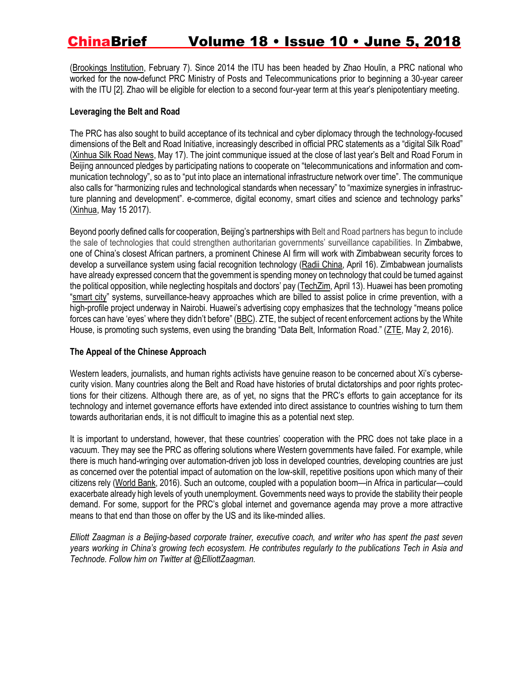[\(Brookings](https://www.brookings.edu/blog/techtank/2018/02/07/u-s-government-should-not-reverse-course-on-internet-governance-transition/) Institution, February 7). Since 2014 the ITU has been headed by Zhao Houlin, a PRC national who worked for the now-defunct PRC Ministry of Posts and Telecommunications prior to beginning a 30-year career with the ITU [2]. Zhao will be eligible for election to a second four-year term at this year's plenipotentiary meeting.

#### **Leveraging the Belt and Road**

The PRC has also sought to build acceptance of its technical and cyber diplomacy through the technology-focused dimensions of the Belt and Road Initiative, increasingly described in official PRC statements as a "digital Silk Road" [\(Xinhua](http://silkroad.news.cn/2018/0517/96579.shtml) Silk Road News, May 17). The joint communique issued at the close of last year's Belt and Road Forum in Beijing announced pledges by participating nations to cooperate on "telecommunications and information and communication technology", so as to "put into place an international infrastructure network over time". The communique also calls for "harmonizing rules and technological standards when necessary" to "maximize synergies in infrastructure planning and development". e-commerce, digital economy, smart cities and science and technology parks" [\(Xinhua,](http://www.xinhuanet.com/english/2017-05/15/c_136286378.htm) May 15 2017).

Beyond poorly defined calls for cooperation, Beijing's partnerships with Belt and Road partners has begun to include the sale of technologies that could strengthen authoritarian governments' surveillance capabilities. In Zimbabwe, one of China's closest African partners, a prominent Chinese AI firm will work with Zimbabwean security forces to develop a surveillance system using facial recognition technology (Radii [China,](https://radiichina.com/china-exports-facial-scan-tech-to-zimbabwe-launches-first-ai-technology-entry-to-africa/) April 16). Zimbabwean journalists have already expressed concern that the government is spending money on technology that could be turned against the political opposition, while neglecting hospitals and doctors' pay [\(TechZim,](https://www.techzim.co.zw/2018/04/mnangagwas-govt-getting-facial-recognition-tech-from-china/) April 13). Huawei has been promoting "[smart](http://www.bbc.com/future/bespoke/specials/connected-world/government.html) city" systems, surveillance-heavy approaches which are billed to assist police in crime prevention, with a high-profile project underway in Nairobi. Huawei's advertising copy emphasizes that the technology "means police forces can have 'eyes' where they didn't before" [\(BBC\)](http://www.bbc.com/future/bespoke/specials/connected-world/government.html). ZTE, the subject of recent enforcement actions by the White House, is promoting such systems, even using the branding "Data Belt, Information Road." [\(ZTE,](http://www.bbc.com/future/bespoke/specials/connected-world/government.html) May 2, 2016).

#### **The Appeal of the Chinese Approach**

Western leaders, journalists, and human rights activists have genuine reason to be concerned about Xi's cybersecurity vision. Many countries along the Belt and Road have histories of brutal dictatorships and poor rights protections for their citizens. Although there are, as of yet, no signs that the PRC's efforts to gain acceptance for its technology and internet governance efforts have extended into direct assistance to countries wishing to turn them towards authoritarian ends, it is not difficult to imagine this as a potential next step.

It is important to understand, however, that these countries' cooperation with the PRC does not take place in a vacuum. They may see the PRC as offering solutions where Western governments have failed. For example, while there is much hand-wringing over automation-driven job loss in developed countries, developing countries are just as concerned over the potential impact of automation on the low-skill, repetitive positions upon which many of their citizens rely [\(World](http://www.worldbank.org/en/publication/wdr2016) Bank, 2016). Such an outcome, coupled with a population boom—in Africa in particular—could exacerbate already high levels of youth unemployment. Governments need ways to provide the stability their people demand. For some, support for the PRC's global internet and governance agenda may prove a more attractive means to that end than those on offer by the US and its like-minded allies.

Elliott Zaagman is a Beijing-based corporate trainer, executive coach, and writer who has spent the past seven years working in China's growing tech ecosystem. He contributes regularly to the publications Tech in Asia and *Technode. Follow him on Twitter at @ElliottZaagman.*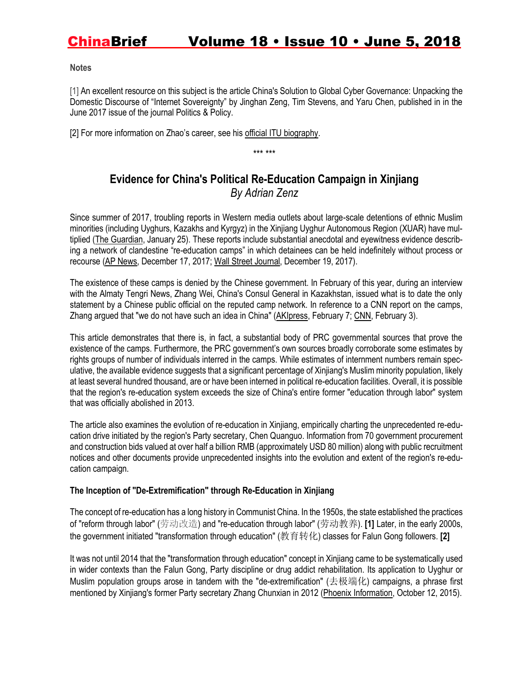#### **Notes**

[1] An excellent resource on this subject is the article China's Solution to Global Cyber Governance: Unpacking the Domestic Discourse of "Internet Sovereignty" by Jinghan Zeng, Tim Stevens, and Yaru Chen, published in in the June 2017 issue of the journal Politics & Policy.

[2] For more information on Zhao's career, see his [official ITU biography.](https://en.wikipedia.org/wiki/International_Telecommunication_Union)

\*\*\* \*\*\*

### **Evidence for China's Political Re-Education Campaign in Xinjiang** *By Adrian Zenz*

Since summer of 2017, troubling reports in Western media outlets about large-scale detentions of ethnic Muslim minorities (including Uyghurs, Kazakhs and Kyrgyz) in the Xinjiang Uyghur Autonomous Region (XUAR) have multiplied [\(The Guardian,](https://www.theguardian.com/world/2018/jan/25/at-least-120000-muslim-uighurs-held-in-chinese-re-education-camps-report) January 25). These reports include substantial anecdotal and eyewitness evidence describing a network of clandestine "re-education camps" in which detainees can be held indefinitely without process or recourse [\(AP News,](https://www.apnews.com/10207e125d564897934a27288855e34d) December 17, 2017; [Wall Street Journal,](https://www.wsj.com/articles/twelve-days-in-xinjiang-how-chinas-surveillance-state-overwhelms-daily-life-1513700355) December 19, 2017).

The existence of these camps is denied by the Chinese government. In February of this year, during an interview with the Almaty Tengri News, Zhang Wei, China's Consul General in Kazakhstan, issued what is to date the only statement by a Chinese public official on the reputed camp network. In reference to a CNN report on the camps, Zhang argued that "we do not have such an idea in China" [\(AKIpress,](https://akipress.com/news:602025) February 7; [CNN,](https://edition.cnn.com/2018/02/02/asia/china-xinjiang-detention-camps-intl/index.html) February 3).

This article demonstrates that there is, in fact, a substantial body of PRC governmental sources that prove the existence of the camps. Furthermore, the PRC government's own sources broadly corroborate some estimates by rights groups of number of individuals interred in the camps. While estimates of internment numbers remain speculative, the available evidence suggests that a significant percentage of Xinjiang's Muslim minority population, likely at least several hundred thousand, are or have been interned in political re-education facilities. Overall, it is possible that the region's re-education system exceeds the size of China's entire former "education through labor" system that was officially abolished in 2013.

The article also examines the evolution of re-education in Xinjiang, empirically charting the unprecedented re-education drive initiated by the region's Party secretary, Chen Quanguo. Information from 70 government procurement and construction bids valued at over half a billion RMB (approximately USD 80 million) along with public recruitment notices and other documents provide unprecedented insights into the evolution and extent of the region's re-education campaign.

#### **The Inception of "De-Extremification" through Re-Education in Xinjiang**

The concept of re-education has a long history in Communist China. In the 1950s, the state established the practices of "reform through labor" (劳动改造) and "re-education through labor" (劳动教养). **[1]** Later, in the early 2000s, the government initiated "transformation through education" (教育转化) classes for Falun Gong followers. **[2]**

It was not until 2014 that the "transformation through education" concept in Xinjiang came to be systematically used in wider contexts than the Falun Gong, Party discipline or drug addict rehabilitation. Its application to Uyghur or Muslim population groups arose in tandem with the "de-extremification" (去极端化) campaigns, a phrase first mentioned by Xinjiang's former Party secretary Zhang Chunxian in 2012 (Phoenix [Information,](http://www.360doc.com/content/15/1012/23/15549792_505230217.shtml) October 12, 2015).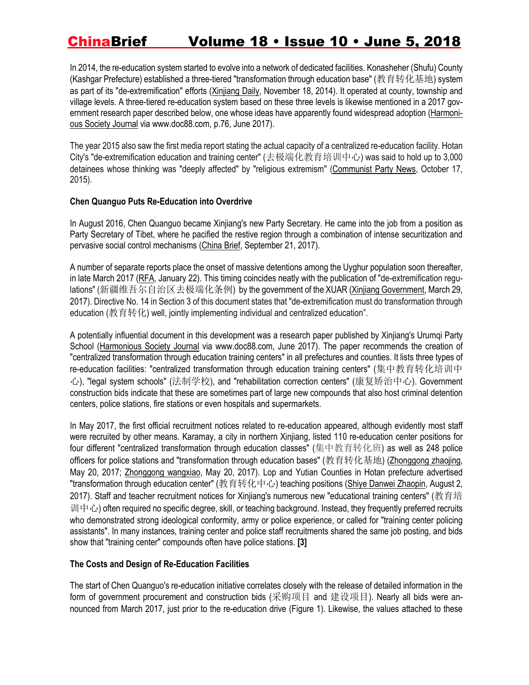In 2014, the re-education system started to evolve into a network of dedicated facilities. Konasheher (Shufu) County (Kashgar Prefecture) established a three-tiered "transformation through education base" (教育转化基地) system as part of its "de-extremification" efforts [\(Xinjiang](http://www.xjdaily.com.cn/tsnb/1150049.shtml) Daily, November 18, 2014). It operated at county, township and village levels. A three-tiered re-education system based on these three levels is likewise mentioned in a 2017 gov-ernment research paper described below, one whose ideas have apparently found widespread adoption [\(Harmoni](http://www.doc88.com/p-2921386725182.html)ous [Society](http://www.doc88.com/p-2921386725182.html) Journal via www.doc88.com, p.76, June 2017).

The year 2015 also saw the first media report stating the actual capacity of a centralized re-education facility. Hotan City's "de-extremification education and training center" (去极端化教育培训中心) was said to hold up to 3,000 detainees whose thinking was "deeply affected" by "religious extremism" [\(Communist](http://cpc.people.com.cn/n/2015/0917/c398213-27598576.html) Party News, October 17, 2015).

#### **Chen Quanguo Puts Re-Education into Overdrive**

In August 2016, Chen Quanguo became Xinjiang's new Party Secretary. He came into the job from a position as Party Secretary of Tibet, where he pacified the restive region through a combination of intense securitization and pervasive social control mechanisms [\(China](https://jamestown.org/program/chen-quanguo-the-strongman-behind-beijings-securitization-strategy-in-tibet-and-xinjiang/) Brief, September 21, 2017).

A number of separate reports place the onset of massive detentions among the Uyghur population soon thereafter, in late March 2017 [\(RFA,](https://www.rfa.org/english/news/uyghur/detentions-01222018171657.html) January 22). This timing coincides neatly with the publication of "de-extremification regu-lations" (新疆维吾尔自治区去极端化条例) by the government of the XUAR (<u>Xinjiang [Government,](http://www.xinjiang.gov.cn/2017/03/30/128831.html)</u> March 29, 2017). Directive No. 14 in Section 3 of this document states that "de-extremification must do transformation through education (教育转化) well, jointly implementing individual and centralized education".

A potentially influential document in this development was a research paper published by Xinjiang's Urumqi Party School [\(Harmonious](http://www.doc88.com/p-2921386725182.html) Society Journal via www.doc88.com, June 2017). The paper recommends the creation of "centralized transformation through education training centers" in all prefectures and counties. It lists three types of re-education facilities: "centralized transformation through education training centers" (集中教育转化培训中 心), "legal system schools" (法制学校), and "rehabilitation correction centers" (康复矫治中心). Government construction bids indicate that these are sometimes part of large new compounds that also host criminal detention centers, police stations, fire stations or even hospitals and supermarkets.

In May 2017, the first official recruitment notices related to re-education appeared, although evidently most staff were recruited by other means. Karamay, a city in northern Xinjiang, listed 110 re-education center positions for four different "centralized transformation through education classes" (集中教育转化班) as well as 248 police officers for police stations and "transformation through education bases" (教育转化基地) [\(Zhonggong](http://zjks.offcn.com/fjxj/u14230.html) zhaojing, May 20, 2017; [Zhonggong](http://www.eoffcn.com/kszx/gonggao/413713.html) wangxiao, May 20, 2017). Lop and Yutian Counties in Hotan prefecture advertised "transformation through education center" (教育转化中心) teaching positions (<u>Shiye Danwei [Zhaopin,](http://www.shiyebian.net/xinxi/217062.html)</u> August 2, 2017). Staff and teacher recruitment notices for Xinjiang's numerous new "educational training centers" (教育培 训中心) often required no specific degree, skill, or teaching background. Instead, they frequently preferred recruits who demonstrated strong ideological conformity, army or police experience, or called for "training center policing assistants". In many instances, training center and police staff recruitments shared the same job posting, and bids show that "training center" compounds often have police stations. **[3]**

#### **The Costs and Design of Re-Education Facilities**

The start of Chen Quanguo's re-education initiative correlates closely with the release of detailed information in the form of government procurement and construction bids (采购项目 and 建设项目). Nearly all bids were announced from March 2017, just prior to the re-education drive (Figure 1). Likewise, the values attached to these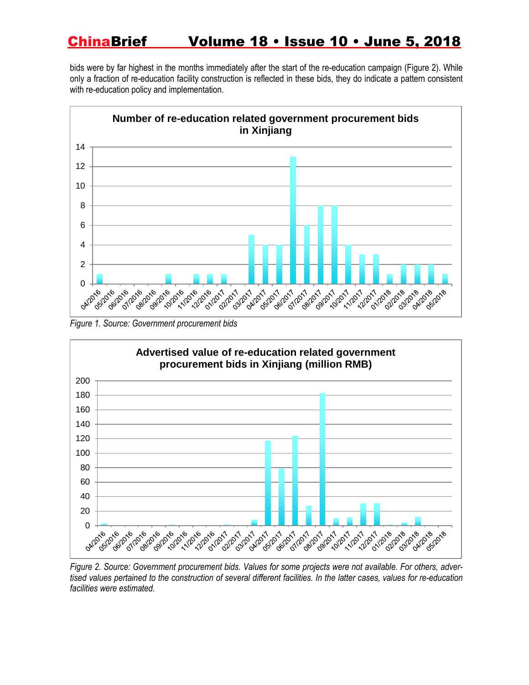bids were by far highest in the months immediately after the start of the re-education campaign (Figure 2). While only a fraction of re-education facility construction is reflected in these bids, they do indicate a pattern consistent with re-education policy and implementation.



*Figure 1. Source: Government procurement bids*



*Figure 2. Source: Government procurement bids. Values for some projects were not available. For others, adver*tised values pertained to the construction of several different facilities. In the latter cases, values for re-education *facilities were estimated.*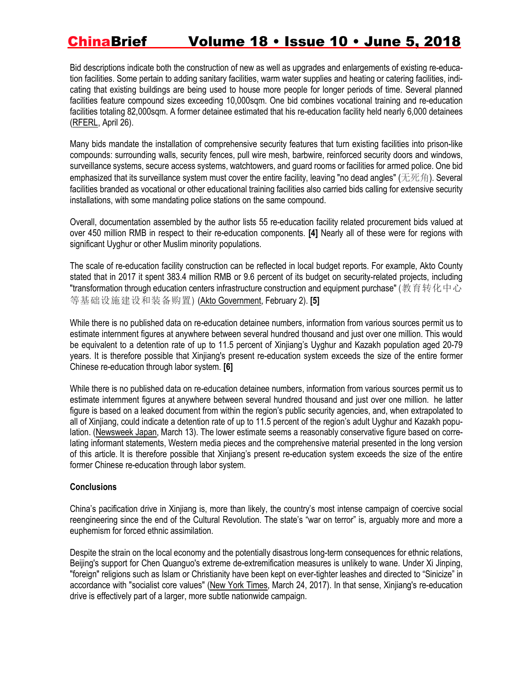Bid descriptions indicate both the construction of new as well as upgrades and enlargements of existing re-education facilities. Some pertain to adding sanitary facilities, warm water supplies and heating or catering facilities, indicating that existing buildings are being used to house more people for longer periods of time. Several planned facilities feature compound sizes exceeding 10,000sqm. One bid combines vocational training and re-education facilities totaling 82,000sqm. A former detainee estimated that his re-education facility held nearly 6,000 detainees [\(RFERL,](https://www.rferl.org/a/kazakh-recounts-reeducation-in-western-chinese-camp/29194106.html) April 26).

Many bids mandate the installation of comprehensive security features that turn existing facilities into prison-like compounds: surrounding walls, security fences, pull wire mesh, barbwire, reinforced security doors and windows, surveillance systems, secure access systems, watchtowers, and guard rooms or facilities for armed police. One bid emphasized that its surveillance system must cover the entire facility, leaving "no dead angles" (无死角). Several facilities branded as vocational or other educational training facilities also carried bids calling for extensive security installations, with some mandating police stations on the same compound.

Overall, documentation assembled by the author lists 55 re-education facility related procurement bids valued at over 450 million RMB in respect to their re-education components. **[4]** Nearly all of these were for regions with significant Uyghur or other Muslim minority populations.

The scale of re-education facility construction can be reflected in local budget reports. For example, Akto County stated that in 2017 it spent 383.4 million RMB or 9.6 percent of its budget on security-related projects, including "transformation through education centers infrastructure construction and equipment purchase" (教育转化中心 等基础设施建设和装备购置) (Akto [Government,](http://www.xjakt.gov.cn/akt/c100147/2018-02/02/content_16c452210d3345f1a9e3abe8c92b0f65.shtml) February 2). **[5]**

While there is no published data on re-education detainee numbers, information from various sources permit us to estimate internment figures at anywhere between several hundred thousand and just over one million. This would be equivalent to a detention rate of up to 11.5 percent of Xinjiang's Uyghur and Kazakh population aged 20-79 years. It is therefore possible that Xinjiang's present re-education system exceeds the size of the entire former Chinese re-education through labor system. **[6]**

While there is no published data on re-education detainee numbers, information from various sources permit us to estimate internment figures at anywhere between several hundred thousand and just over one million. he latter figure is based on a leaked document from within the region's public security agencies, and, when extrapolated to all of Xinjiang, could indicate a detention rate of up to 11.5 percent of the region's adult Uyghur and Kazakh population. [\(Newsweek](https://www.newsweekjapan.jp/stories/world/2018/03/89-3_1.php) Japan, March 13). The lower estimate seems a reasonably conservative figure based on correlating informant statements, Western media pieces and the comprehensive material presented in the long version of this article. It is therefore possible that Xinjiang's present re-education system exceeds the size of the entire former Chinese re-education through labor system.

#### **Conclusions**

China's pacification drive in Xinjiang is, more than likely, the country's most intense campaign of coercive social reengineering since the end of the Cultural Revolution. The state's "war on terror" is, arguably more and more a euphemism for forced ethnic assimilation.

Despite the strain on the local economy and the potentially disastrous long-term consequences for ethnic relations, Beijing's support for Chen Quanguo's extreme de-extremification measures is unlikely to wane. Under Xi Jinping, "foreign" religions such as Islam or Christianity have been kept on ever-tighter leashes and directed to "Sinicize" in accordance with "socialist core values" (New York [Times,](https://www.nytimes.com/2017/03/24/opinion/sunday/chinas-communists-embrace-religion.html) March 24, 2017). In that sense, Xinjiang's re-education drive is effectively part of a larger, more subtle nationwide campaign.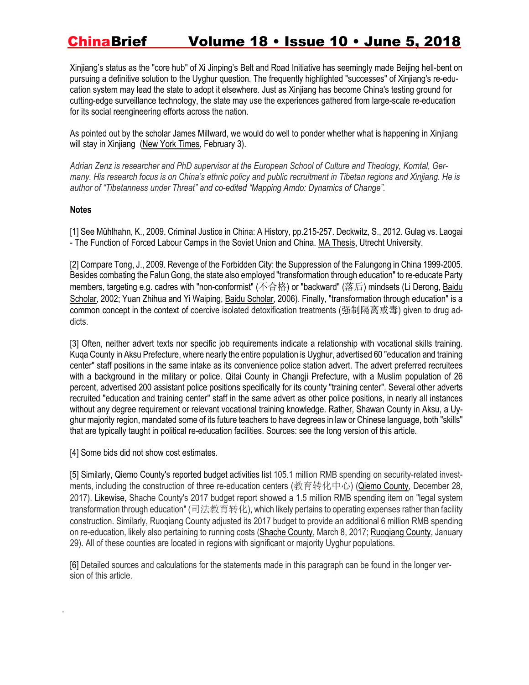Xinjiang's status as the "core hub" of Xi Jinping's Belt and Road Initiative has seemingly made Beijing hell-bent on pursuing a definitive solution to the Uyghur question. The frequently highlighted "successes" of Xinjiang's re-education system may lead the state to adopt it elsewhere. Just as Xinjiang has become China's testing ground for cutting-edge surveillance technology, the state may use the experiences gathered from large-scale re-education for its social reengineering efforts across the nation.

As pointed out by the scholar James Millward, we would do well to ponder whether what is happening in Xinjiang will stay in Xinjiang (New York [Times,](https://www.nytimes.com/2018/02/03/opinion/sunday/china-surveillance-state-uighurs.html) February 3).

Adrian Zenz is researcher and PhD supervisor at the European School of Culture and Theology, Korntal, Germany. His research focus is on China's ethnic policy and public recruitment in Tibetan regions and Xinjiang. He is *author of "Tibetanness under Threat" and co-edited "Mapping Amdo: Dynamics of Change".*

#### **Notes**

*.*

[1] See Mühlhahn, K., 2009. Criminal Justice in China: A History, pp.215-257. Deckwitz, S., 2012. Gulag vs. Laogai - The Function of Forced Labour Camps in the Soviet Union and China. MA [Thesis,](https://dspace.library.uu.nl/bitstream/handle/1874/228062/gulagvslaogai.pdf?sequence=1) Utrecht University.

[2] Compare Tong, J., 2009. Revenge of the Forbidden City: the Suppression of the Falungong in China 1999-2005. Besides combating the Falun Gong, the state also employed "transformation through education" to re-educate Party members, targeting e.g. cadres with "non-conformist" (不合格) or "backward" (落后) mindsets (Li Derong, [Baidu](http://xueshu.baidu.com/s?wd=paperuri%3A%287175dca335d50866df44c75a312d6f76%29&filter=sc_long_sign&sc_ks_para=q%3D%E5%85%9A%E5%91%98%E7%AE%A1%E7%90%86%E6%96%B9%E6%B3%95%E7%9A%84%E6%96%B0%E6%8E%A2%E7%B4%A2%E2%80%94%E6%B1%9F%E8%8B%8F%E5%93%8D%E6%B0%B4%E5%8E%BF%E5%AE%9E%E6%96%BD%E5%85%9A%E5%91%98%E2%80%9C%E5%91%8A%E8%AF%AB%E8%BD%AC%E5%8C%96%E2%80%9D%E5%88%B6%E5%BA%A6%E7%9A%84%E5%AE%9E%E8%B7%B5%E4%B8%8E%E6%80%9D%E8%80%83&sc_us=3028509239404475910&tn=SE_baiduxueshu_c1gjeupa&ie=utf-8) [Scholar,](http://xueshu.baidu.com/s?wd=paperuri%3A%287175dca335d50866df44c75a312d6f76%29&filter=sc_long_sign&sc_ks_para=q%3D%E5%85%9A%E5%91%98%E7%AE%A1%E7%90%86%E6%96%B9%E6%B3%95%E7%9A%84%E6%96%B0%E6%8E%A2%E7%B4%A2%E2%80%94%E6%B1%9F%E8%8B%8F%E5%93%8D%E6%B0%B4%E5%8E%BF%E5%AE%9E%E6%96%BD%E5%85%9A%E5%91%98%E2%80%9C%E5%91%8A%E8%AF%AB%E8%BD%AC%E5%8C%96%E2%80%9D%E5%88%B6%E5%BA%A6%E7%9A%84%E5%AE%9E%E8%B7%B5%E4%B8%8E%E6%80%9D%E8%80%83&sc_us=3028509239404475910&tn=SE_baiduxueshu_c1gjeupa&ie=utf-8) 2002; Yuan Zhihua and Yi Waiping, Baidu [Scholar,](http://xueshu.baidu.com/s?wd=paperuri%3A%28fc7be876ef8ab0f84b0436786d1aef5a%29) 2006). Finally, "transformation through education" is a common concept in the context of coercive isolated detoxification treatments (强制隔离戒毒) given to drug addicts.

[3] Often, neither advert texts nor specific job requirements indicate a relationship with vocational skills training. Kuqa County in Aksu Prefecture, where nearly the entire population is Uyghur, advertised 60 "education and training center" staff positions in the same intake as its convenience police station advert. The advert preferred recruitees with a background in the military or police. Qitai County in Changji Prefecture, with a Muslim population of 26 percent, advertised 200 assistant police positions specifically for its county "training center". Several other adverts recruited "education and training center" staff in the same advert as other police positions, in nearly all instances without any degree requirement or relevant vocational training knowledge. Rather, Shawan County in Aksu, a Uyghur majority region, mandated some of its future teachers to have degrees in law or Chinese language, both "skills" that are typically taught in political re-education facilities. Sources: see the long version of this article.

[4] Some bids did not show cost estimates.

[5] Similarly, Qiemo County's reported budget activities list 105.1 million RMB spending on security-related investments, including the construction of three re-education centers (教育转化中心) (Qiemo [County,](http://www.xjqmx.gov.cn/gk/zjgl/czyjsbg/111334.htm) December 28, 2017). Likewise, Shache County's 2017 budget report showed a 1.5 million RMB spending item on "legal system transformation through education" (司法教育转化), which likely pertains to operating expenses rather than facility construction. Similarly, Ruoqiang County adjusted its 2017 budget to provide an additional 6 million RMB spending on re-education, likely also pertaining to running costs [\(Shache](https://www.baidu.com/link?url=CphUI46T81klV47CZMAlFTNrdLnoOeTMacs2b_hENNurt9qnWYn2XyMSRbAbZfeFz6upSsTxT1bkptxedVp1jzH-bMNKDB1Tkv9qNvfAtVn4BH7jBlS6Jxn1_W2MPpUrB0683kjVonHnMpEVvpbGC_&wd=&eqid=e3058ecf00064906000000065ad5c5a2) County, March 8, 2017; [Ruoqiang](http://www.loulan.gov.cn/Government/PublicInfoShow.aspx?ID=41645) County, January 29). All of these counties are located in regions with significant or majority Uyghur populations.

[6] Detailed sources and calculations for the statements made in this paragraph can be found in the longer version of this article.